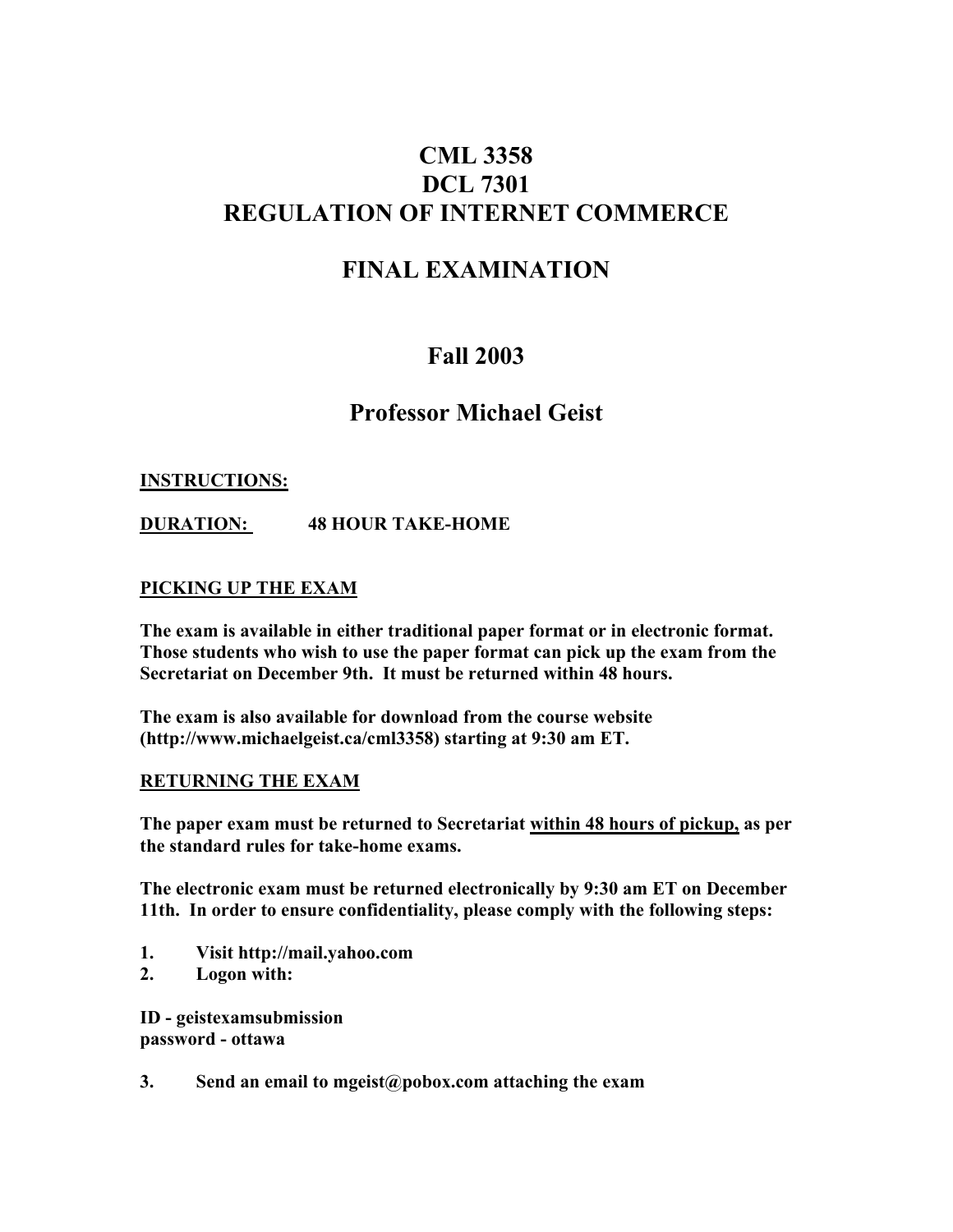# **CML 3358 DCL 7301 REGULATION OF INTERNET COMMERCE**

# **FINAL EXAMINATION**

# **Fall 2003**

# **Professor Michael Geist**

### **INSTRUCTIONS:**

**DURATION: 48 HOUR TAKE-HOME**

### **PICKING UP THE EXAM**

**The exam is available in either traditional paper format or in electronic format. Those students who wish to use the paper format can pick up the exam from the Secretariat on December 9th. It must be returned within 48 hours.**

**The exam is also available for download from the course website (http://www.michaelgeist.ca/cml3358) starting at 9:30 am ET.**

#### **RETURNING THE EXAM**

**The paper exam must be returned to Secretariat within 48 hours of pickup, as per the standard rules for take-home exams.**

**The electronic exam must be returned electronically by 9:30 am ET on December 11th. In order to ensure confidentiality, please comply with the following steps:**

- **1. Visit http://mail.yahoo.com**
- **2. Logon with:**

**ID - geistexamsubmission password - ottawa**

**3. Send an email to mgeist@pobox.com attaching the exam**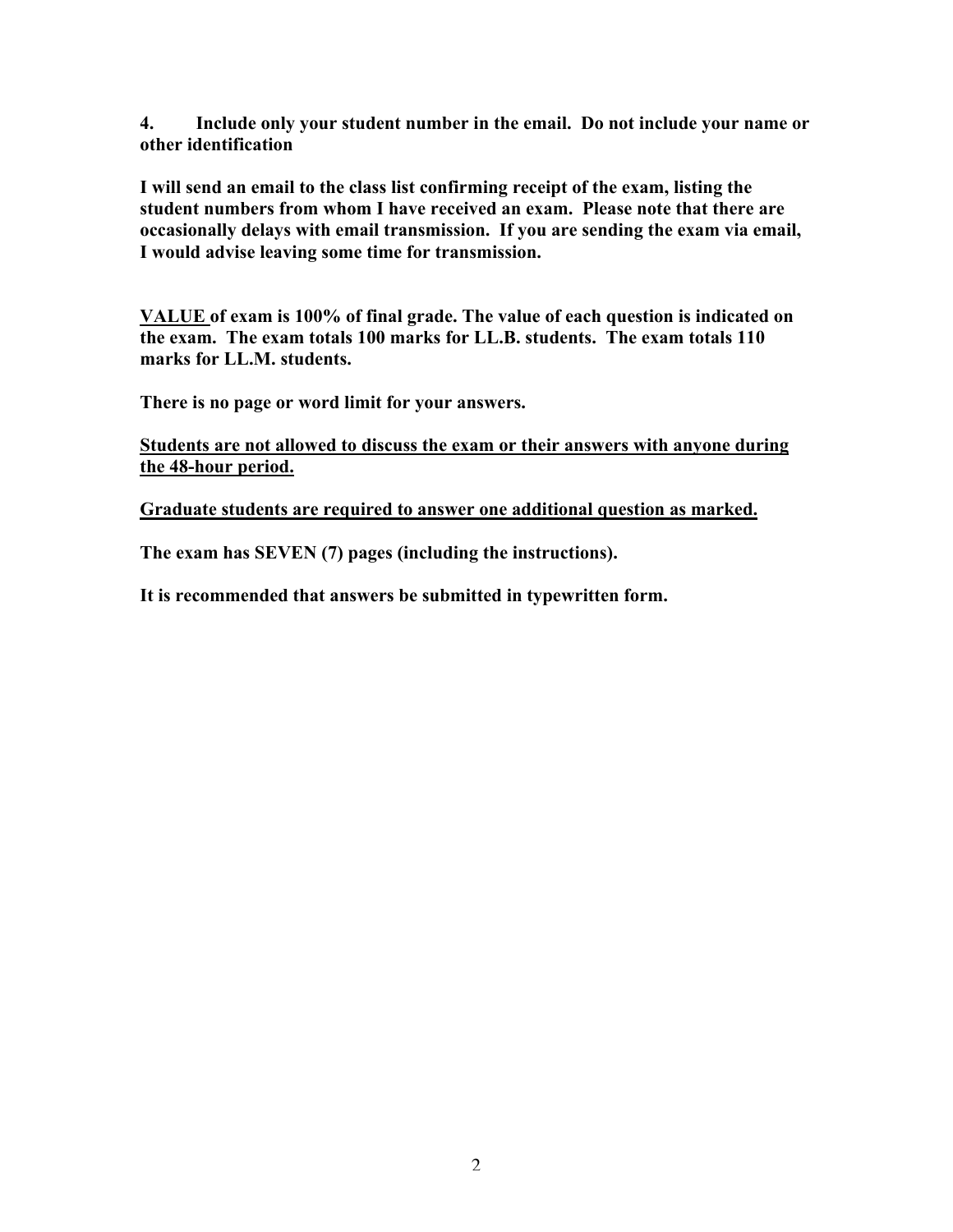**4. Include only your student number in the email. Do not include your name or other identification**

**I will send an email to the class list confirming receipt of the exam, listing the student numbers from whom I have received an exam. Please note that there are occasionally delays with email transmission. If you are sending the exam via email, I would advise leaving some time for transmission.**

**VALUE of exam is 100% of final grade. The value of each question is indicated on the exam. The exam totals 100 marks for LL.B. students. The exam totals 110 marks for LL.M. students.**

**There is no page or word limit for your answers.**

**Students are not allowed to discuss the exam or their answers with anyone during the 48-hour period.**

**Graduate students are required to answer one additional question as marked.**

**The exam has SEVEN (7) pages (including the instructions).**

**It is recommended that answers be submitted in typewritten form.**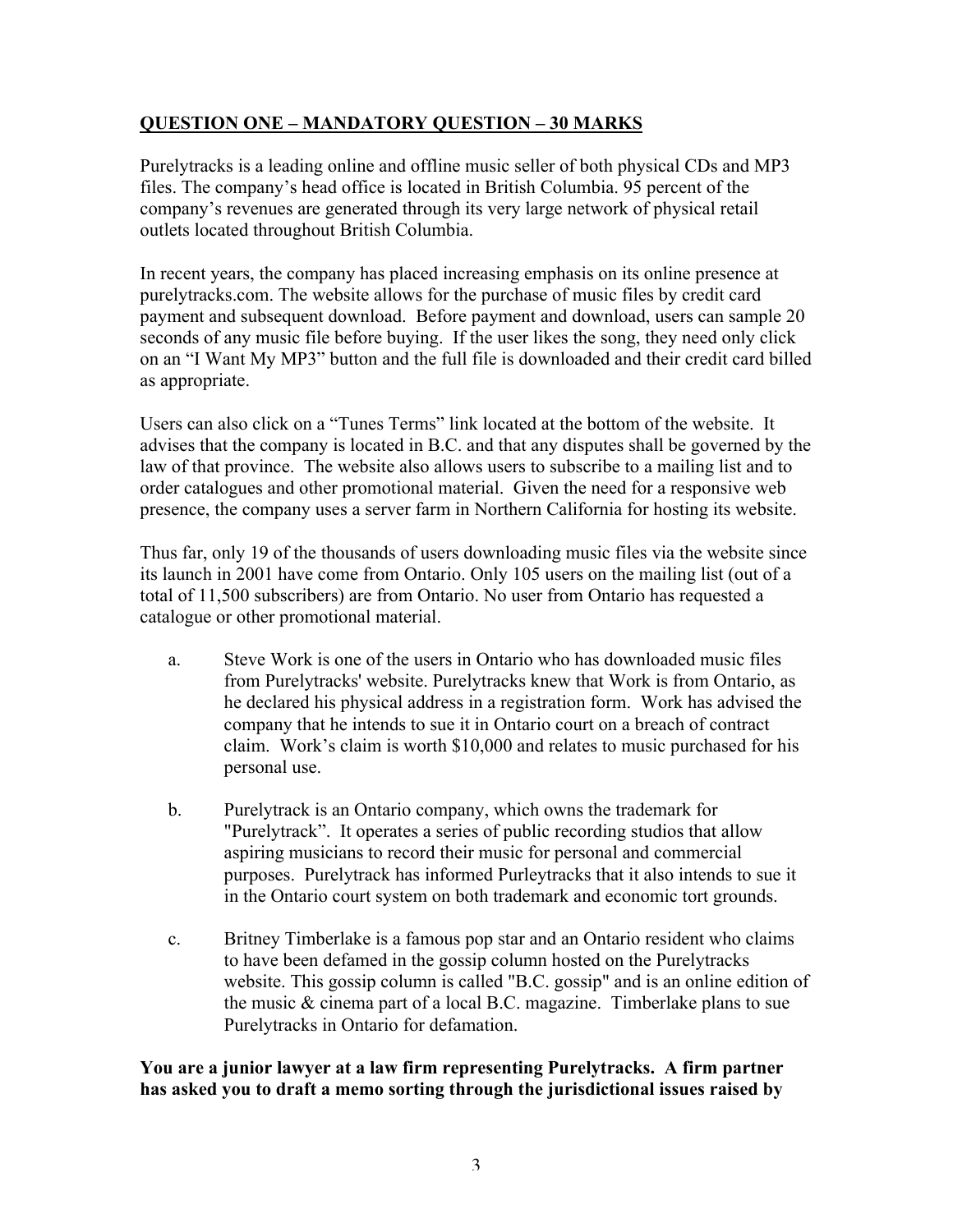# **QUESTION ONE – MANDATORY QUESTION – 30 MARKS**

Purelytracks is a leading online and offline music seller of both physical CDs and MP3 files. The company's head office is located in British Columbia. 95 percent of the company's revenues are generated through its very large network of physical retail outlets located throughout British Columbia.

In recent years, the company has placed increasing emphasis on its online presence at purelytracks.com. The website allows for the purchase of music files by credit card payment and subsequent download. Before payment and download, users can sample 20 seconds of any music file before buying. If the user likes the song, they need only click on an "I Want My MP3" button and the full file is downloaded and their credit card billed as appropriate.

Users can also click on a "Tunes Terms" link located at the bottom of the website. It advises that the company is located in B.C. and that any disputes shall be governed by the law of that province. The website also allows users to subscribe to a mailing list and to order catalogues and other promotional material. Given the need for a responsive web presence, the company uses a server farm in Northern California for hosting its website.

Thus far, only 19 of the thousands of users downloading music files via the website since its launch in 2001 have come from Ontario. Only 105 users on the mailing list (out of a total of 11,500 subscribers) are from Ontario. No user from Ontario has requested a catalogue or other promotional material.

- a. Steve Work is one of the users in Ontario who has downloaded music files from Purelytracks' website. Purelytracks knew that Work is from Ontario, as he declared his physical address in a registration form. Work has advised the company that he intends to sue it in Ontario court on a breach of contract claim. Work's claim is worth \$10,000 and relates to music purchased for his personal use.
- b. Purelytrack is an Ontario company, which owns the trademark for "Purelytrack". It operates a series of public recording studios that allow aspiring musicians to record their music for personal and commercial purposes. Purelytrack has informed Purleytracks that it also intends to sue it in the Ontario court system on both trademark and economic tort grounds.
- c. Britney Timberlake is a famous pop star and an Ontario resident who claims to have been defamed in the gossip column hosted on the Purelytracks website. This gossip column is called "B.C. gossip" and is an online edition of the music & cinema part of a local B.C. magazine. Timberlake plans to sue Purelytracks in Ontario for defamation.

**You are a junior lawyer at a law firm representing Purelytracks. A firm partner has asked you to draft a memo sorting through the jurisdictional issues raised by**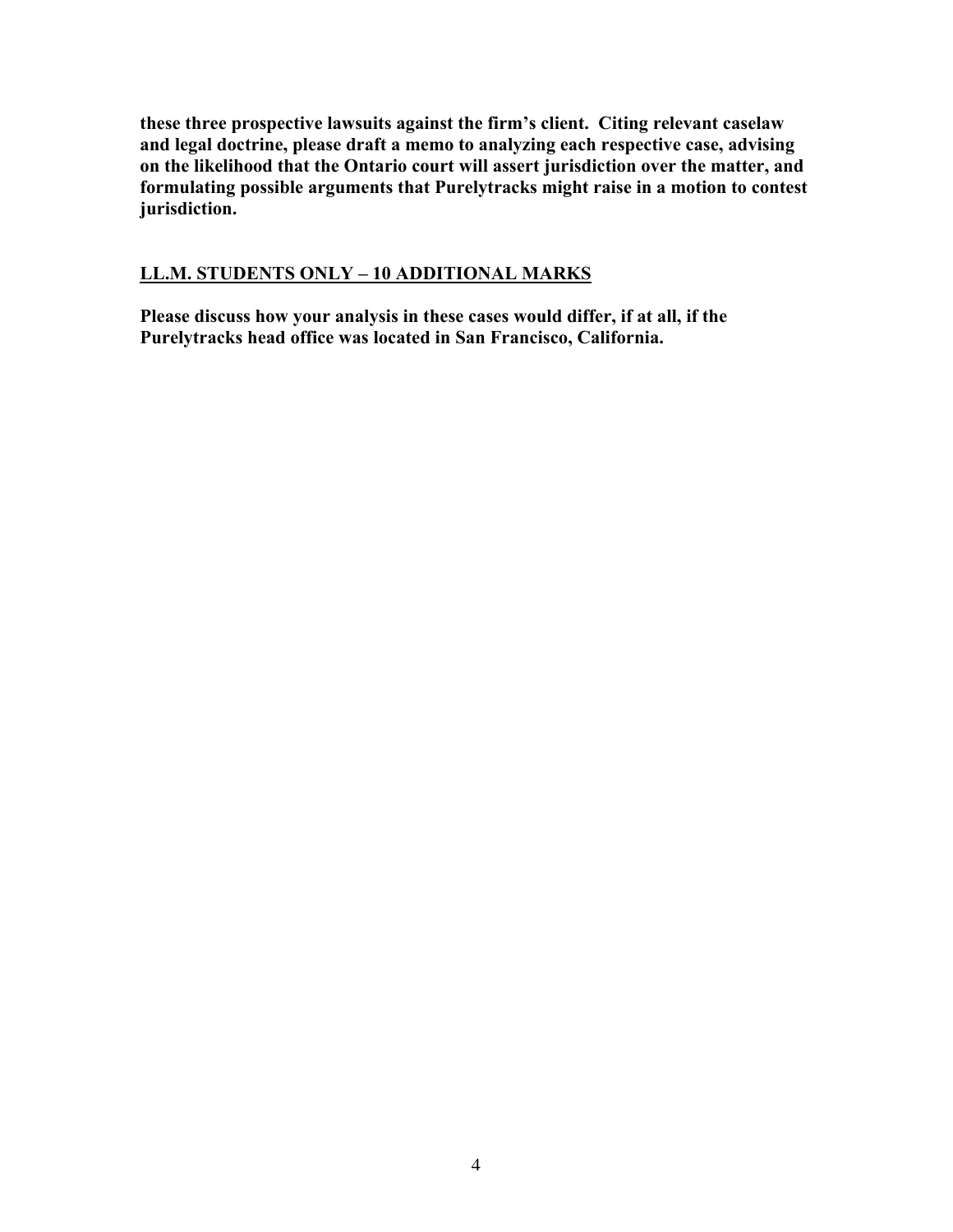**these three prospective lawsuits against the firm's client. Citing relevant caselaw and legal doctrine, please draft a memo to analyzing each respective case, advising on the likelihood that the Ontario court will assert jurisdiction over the matter, and formulating possible arguments that Purelytracks might raise in a motion to contest jurisdiction.**

## **LL.M. STUDENTS ONLY – 10 ADDITIONAL MARKS**

**Please discuss how your analysis in these cases would differ, if at all, if the Purelytracks head office was located in San Francisco, California.**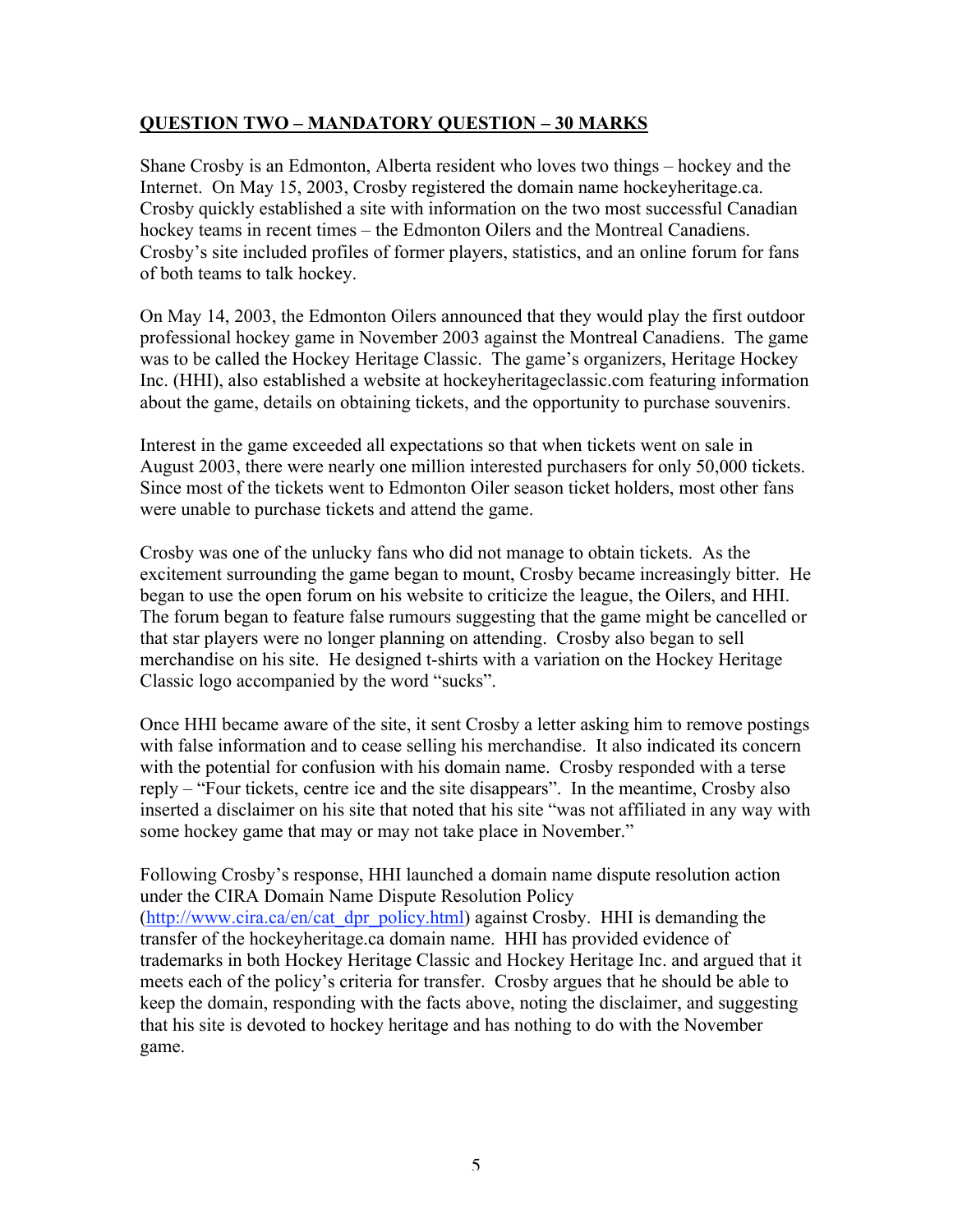## **QUESTION TWO – MANDATORY QUESTION – 30 MARKS**

Shane Crosby is an Edmonton, Alberta resident who loves two things – hockey and the Internet. On May 15, 2003, Crosby registered the domain name hockeyheritage.ca. Crosby quickly established a site with information on the two most successful Canadian hockey teams in recent times – the Edmonton Oilers and the Montreal Canadiens. Crosby's site included profiles of former players, statistics, and an online forum for fans of both teams to talk hockey.

On May 14, 2003, the Edmonton Oilers announced that they would play the first outdoor professional hockey game in November 2003 against the Montreal Canadiens. The game was to be called the Hockey Heritage Classic. The game's organizers, Heritage Hockey Inc. (HHI), also established a website at hockeyheritageclassic.com featuring information about the game, details on obtaining tickets, and the opportunity to purchase souvenirs.

Interest in the game exceeded all expectations so that when tickets went on sale in August 2003, there were nearly one million interested purchasers for only 50,000 tickets. Since most of the tickets went to Edmonton Oiler season ticket holders, most other fans were unable to purchase tickets and attend the game.

Crosby was one of the unlucky fans who did not manage to obtain tickets. As the excitement surrounding the game began to mount, Crosby became increasingly bitter. He began to use the open forum on his website to criticize the league, the Oilers, and HHI. The forum began to feature false rumours suggesting that the game might be cancelled or that star players were no longer planning on attending. Crosby also began to sell merchandise on his site. He designed t-shirts with a variation on the Hockey Heritage Classic logo accompanied by the word "sucks".

Once HHI became aware of the site, it sent Crosby a letter asking him to remove postings with false information and to cease selling his merchandise. It also indicated its concern with the potential for confusion with his domain name. Crosby responded with a terse reply – "Four tickets, centre ice and the site disappears". In the meantime, Crosby also inserted a disclaimer on his site that noted that his site "was not affiliated in any way with some hockey game that may or may not take place in November."

Following Crosby's response, HHI launched a domain name dispute resolution action under the CIRA Domain Name Dispute Resolution Policy (http://www.cira.ca/en/cat\_dpr\_policy.html) against Crosby. HHI is demanding the transfer of the hockeyheritage.ca domain name. HHI has provided evidence of trademarks in both Hockey Heritage Classic and Hockey Heritage Inc. and argued that it meets each of the policy's criteria for transfer. Crosby argues that he should be able to keep the domain, responding with the facts above, noting the disclaimer, and suggesting that his site is devoted to hockey heritage and has nothing to do with the November game.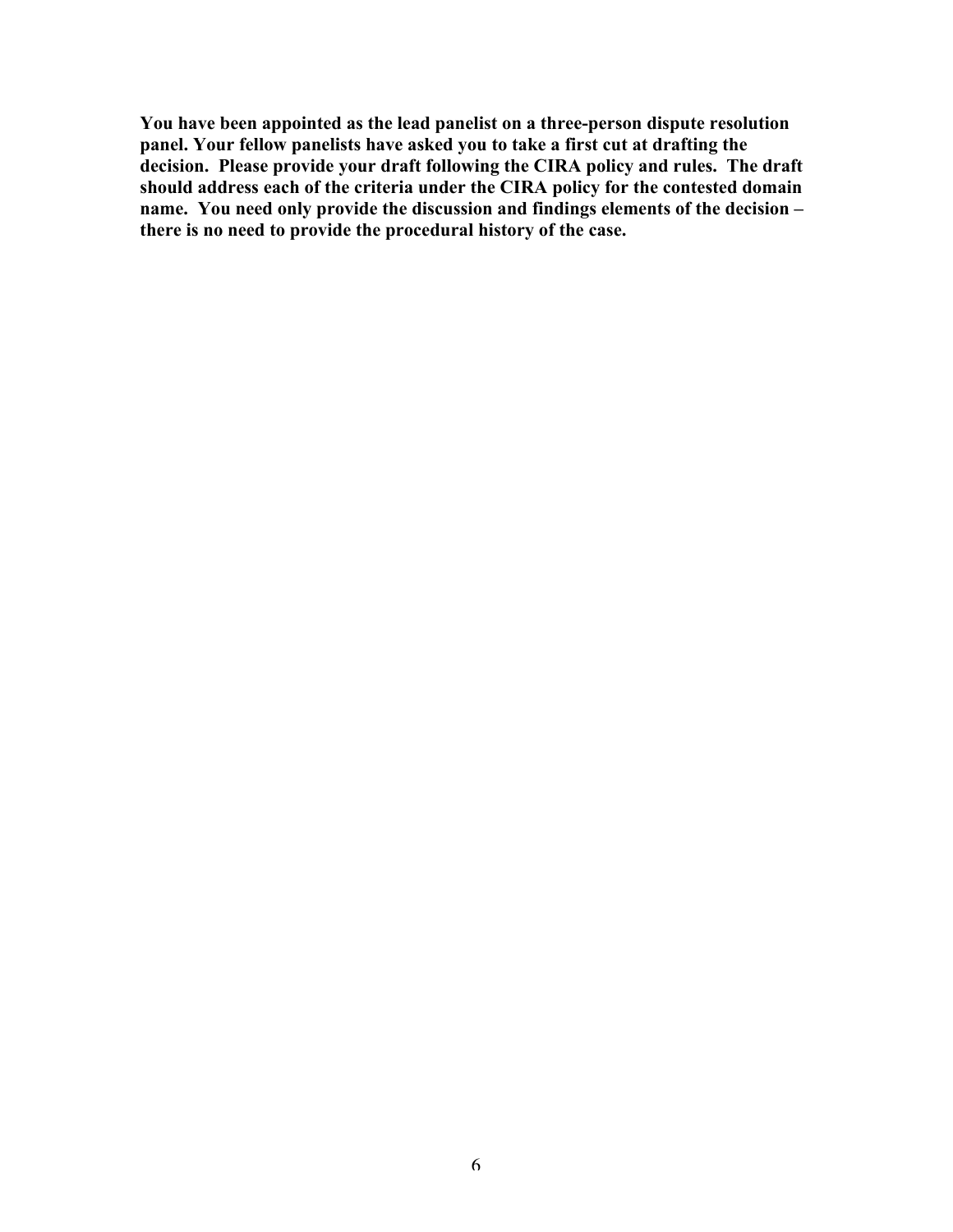**You have been appointed as the lead panelist on a three-person dispute resolution panel. Your fellow panelists have asked you to take a first cut at drafting the decision. Please provide your draft following the CIRA policy and rules. The draft should address each of the criteria under the CIRA policy for the contested domain name. You need only provide the discussion and findings elements of the decision – there is no need to provide the procedural history of the case.**